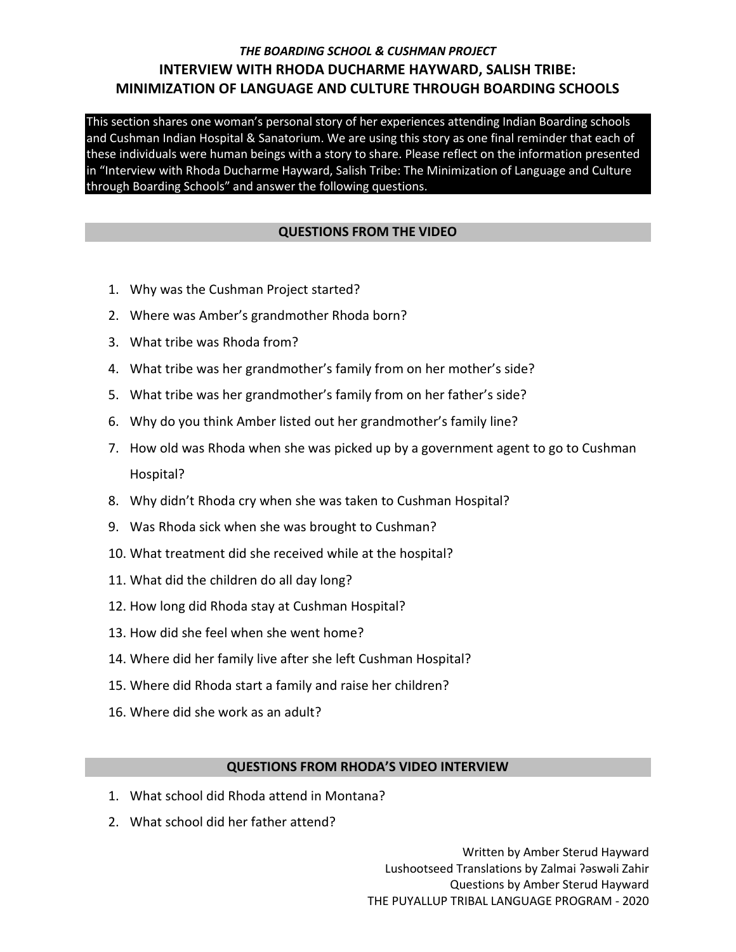# *THE BOARDING SCHOOL & CUSHMAN PROJECT* **INTERVIEW WITH RHODA DUCHARME HAYWARD, SALISH TRIBE: MINIMIZATION OF LANGUAGE AND CULTURE THROUGH BOARDING SCHOOLS**

This section shares one woman's personal story of her experiences attending Indian Boarding schools and Cushman Indian Hospital & Sanatorium. We are using this story as one final reminder that each of these individuals were human beings with a story to share. Please reflect on the information presented in "Interview with Rhoda Ducharme Hayward, Salish Tribe: The Minimization of Language and Culture through Boarding Schools" and answer the following questions.

### **QUESTIONS FROM THE VIDEO**

- 1. Why was the Cushman Project started?
- 2. Where was Amber's grandmother Rhoda born?
- 3. What tribe was Rhoda from?
- 4. What tribe was her grandmother's family from on her mother's side?
- 5. What tribe was her grandmother's family from on her father's side?
- 6. Why do you think Amber listed out her grandmother's family line?
- 7. How old was Rhoda when she was picked up by a government agent to go to Cushman Hospital?
- 8. Why didn't Rhoda cry when she was taken to Cushman Hospital?
- 9. Was Rhoda sick when she was brought to Cushman?
- 10. What treatment did she received while at the hospital?
- 11. What did the children do all day long?
- 12. How long did Rhoda stay at Cushman Hospital?
- 13. How did she feel when she went home?
- 14. Where did her family live after she left Cushman Hospital?
- 15. Where did Rhoda start a family and raise her children?
- 16. Where did she work as an adult?

#### **QUESTIONS FROM RHODA'S VIDEO INTERVIEW**

- 1. What school did Rhoda attend in Montana?
- 2. What school did her father attend?

Written by Amber Sterud Hayward Lushootseed Translations by Zalmai ʔəswəli Zahir Questions by Amber Sterud Hayward THE PUYALLUP TRIBAL LANGUAGE PROGRAM - 2020